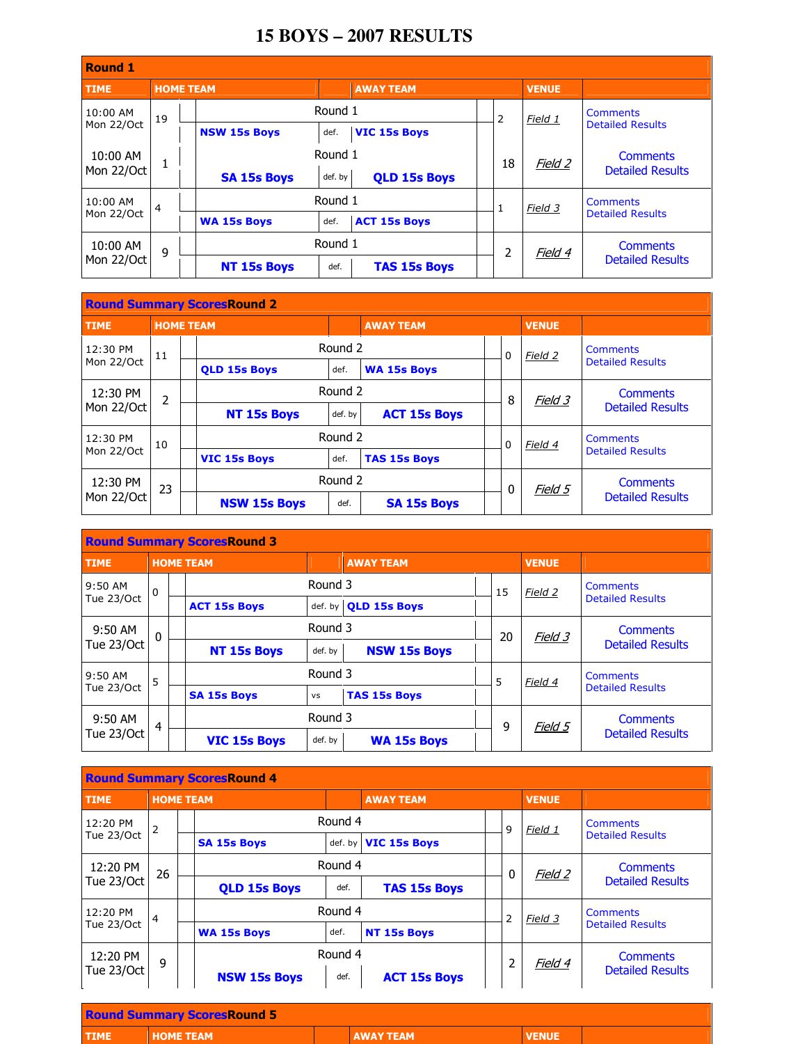## **15 BOYS – 2007 RESULTS**

| <b>Round 1</b>         |                  |  |                     |         |                     |  |                         |              |                         |  |  |
|------------------------|------------------|--|---------------------|---------|---------------------|--|-------------------------|--------------|-------------------------|--|--|
| <b>TIME</b>            | <b>HOME TEAM</b> |  |                     |         | <b>AWAY TEAM</b>    |  |                         | <b>VENUE</b> |                         |  |  |
| 10:00 AM               | 19               |  |                     | Round 1 |                     |  | $\overline{2}$          | Field 1      | <b>Comments</b>         |  |  |
| Mon 22/Oct             |                  |  | <b>NSW 15s Boys</b> | def.    | <b>VIC 15s Boys</b> |  |                         |              | <b>Detailed Results</b> |  |  |
| 10:00 AM               | T                |  |                     |         | Round 1             |  | 18                      | Field 2      | <b>Comments</b>         |  |  |
| Mon 22/Oct             |                  |  | <b>SA 15s Boys</b>  | def. by | <b>QLD 15s Boys</b> |  |                         |              | <b>Detailed Results</b> |  |  |
| 10:00 AM               | $\overline{4}$   |  |                     | Round 1 |                     |  | Field 3<br>$\mathbf{1}$ |              | <b>Comments</b>         |  |  |
| Mon 22/Oct             |                  |  | <b>WA 15s Boys</b>  | def.    | <b>ACT 15s Boys</b> |  |                         |              | <b>Detailed Results</b> |  |  |
| 10:00 AM<br>Mon 22/Oct | 9                |  |                     | Round 1 |                     |  | 2                       | Field 4      | <b>Comments</b>         |  |  |
|                        |                  |  | <b>NT 15s Boys</b>  | def.    | <b>TAS 15s Boys</b> |  |                         |              | <b>Detailed Results</b> |  |  |

| <b>Round Summary ScoresRound 2</b> |                  |  |                     |         |                     |   |          |              |                         |  |  |
|------------------------------------|------------------|--|---------------------|---------|---------------------|---|----------|--------------|-------------------------|--|--|
| <b>TIME</b>                        | <b>HOME TEAM</b> |  |                     |         | <b>AWAY TEAM</b>    |   |          | <b>VENUE</b> |                         |  |  |
| 12:30 PM                           | 11               |  |                     | Round 2 |                     |   | $\Omega$ | Field 2      | <b>Comments</b>         |  |  |
| Mon 22/Oct                         |                  |  | <b>OLD 15s Boys</b> | def.    | <b>WA 15s Boys</b>  |   |          |              | <b>Detailed Results</b> |  |  |
| 12:30 PM<br>2                      |                  |  |                     | Round 2 |                     |   | 8        | Field 3      | <b>Comments</b>         |  |  |
| Mon 22/Oct                         |                  |  | <b>NT 15s Boys</b>  | def. by | <b>ACT 15s Boys</b> |   |          |              | <b>Detailed Results</b> |  |  |
| 12:30 PM                           | 10               |  |                     |         | Round 2             |   |          | Field 4      | <b>Comments</b>         |  |  |
| Mon 22/Oct                         |                  |  | <b>VIC 15s Boys</b> | def.    | <b>TAS 15s Boys</b> |   | $\Omega$ |              | <b>Detailed Results</b> |  |  |
| 12:30 PM                           | 23               |  |                     | Round 2 |                     | 0 |          | Field 5      | <b>Comments</b>         |  |  |
| Mon 22/Oct                         |                  |  | <b>NSW 15s Boys</b> | def.    | <b>SA 15s Boys</b>  |   |          |              | <b>Detailed Results</b> |  |  |

| <b>Round Summary ScoresRound 3</b> |                |  |                     |           |                      |  |    |              |                         |  |  |
|------------------------------------|----------------|--|---------------------|-----------|----------------------|--|----|--------------|-------------------------|--|--|
| <b>TIME</b>                        |                |  | <b>HOME TEAM</b>    |           | <b>AWAY TEAM</b>     |  |    | <b>VENUE</b> |                         |  |  |
| $9:50$ AM                          | $\Omega$       |  |                     |           | Round 3              |  | 15 | Field 2      | <b>Comments</b>         |  |  |
| Tue 23/Oct                         |                |  | <b>ACT 15s Boys</b> |           | def. by OLD 15s Boys |  |    |              | <b>Detailed Results</b> |  |  |
| 9:50 AM<br>$\mathbf{0}$            |                |  |                     | Round 3   |                      |  | 20 | Field 3      | <b>Comments</b>         |  |  |
| Tue 23/Oct                         |                |  | <b>NT 15s Boys</b>  | def. by   | <b>NSW 15s Boys</b>  |  |    |              | <b>Detailed Results</b> |  |  |
| $9:50$ AM                          | 5              |  |                     | Round 3   |                      |  | 5  | Field 4      | Comments                |  |  |
| Tue 23/Oct                         |                |  | <b>SA 15s Boys</b>  | <b>VS</b> | <b>TAS 15s Boys</b>  |  |    |              | <b>Detailed Results</b> |  |  |
| $9:50$ AM                          | $\overline{4}$ |  |                     | Round 3   |                      |  | 9  | Field 5      | <b>Comments</b>         |  |  |
| Tue 23/Oct                         |                |  | <b>VIC 15s Boys</b> | def. by   | <b>WA 15s Boys</b>   |  |    |              | <b>Detailed Results</b> |  |  |

| <b>Round Summary ScoresRound 4</b> |                  |                             |                     |                                |                     |         |                 |                         |                         |  |  |
|------------------------------------|------------------|-----------------------------|---------------------|--------------------------------|---------------------|---------|-----------------|-------------------------|-------------------------|--|--|
| <b>TIME</b>                        | <b>HOME TEAM</b> |                             |                     |                                | <b>AWAY TEAM</b>    |         |                 | <b>VENUE</b>            |                         |  |  |
| 12:20 PM                           | $\overline{2}$   |                             | Round 4             |                                | 9                   | Field 1 | <b>Comments</b> |                         |                         |  |  |
| Tue 23/Oct                         |                  |                             | <b>SA 15s Boys</b>  | <b>VIC 15s Boys</b><br>def. by |                     |         |                 | <b>Detailed Results</b> |                         |  |  |
| 12:20 PM<br>26                     |                  |                             |                     |                                | Round 4<br>$\Omega$ |         |                 | Field 2                 | <b>Comments</b>         |  |  |
| Tue 23/Oct                         |                  | <b>QLD 15s Boys</b><br>def. |                     | <b>TAS 15s Boys</b>            |                     |         |                 | <b>Detailed Results</b> |                         |  |  |
| 12:20 PM                           | $\overline{4}$   |                             |                     | Round 4                        | 2                   |         |                 | Field 3                 | Comments                |  |  |
| Tue 23/Oct                         |                  |                             | <b>WA 15s Boys</b>  | def.                           | <b>NT 15s Boys</b>  |         |                 |                         | <b>Detailed Results</b> |  |  |
| 12:20 PM                           | 9                |                             |                     | Round 4                        |                     | 2       |                 | Field 4                 | <b>Comments</b>         |  |  |
| Tue 23/Oct                         |                  |                             | <b>NSW 15s Boys</b> | def.                           | <b>ACT 15s Boys</b> |         |                 |                         | <b>Detailed Results</b> |  |  |

|             | <b>Round Summary ScoresRound 5</b> |                  |              |  |
|-------------|------------------------------------|------------------|--------------|--|
| <b>TIME</b> | <b>HOME TEAM</b>                   | <b>AWAY TEAM</b> | <b>VENUE</b> |  |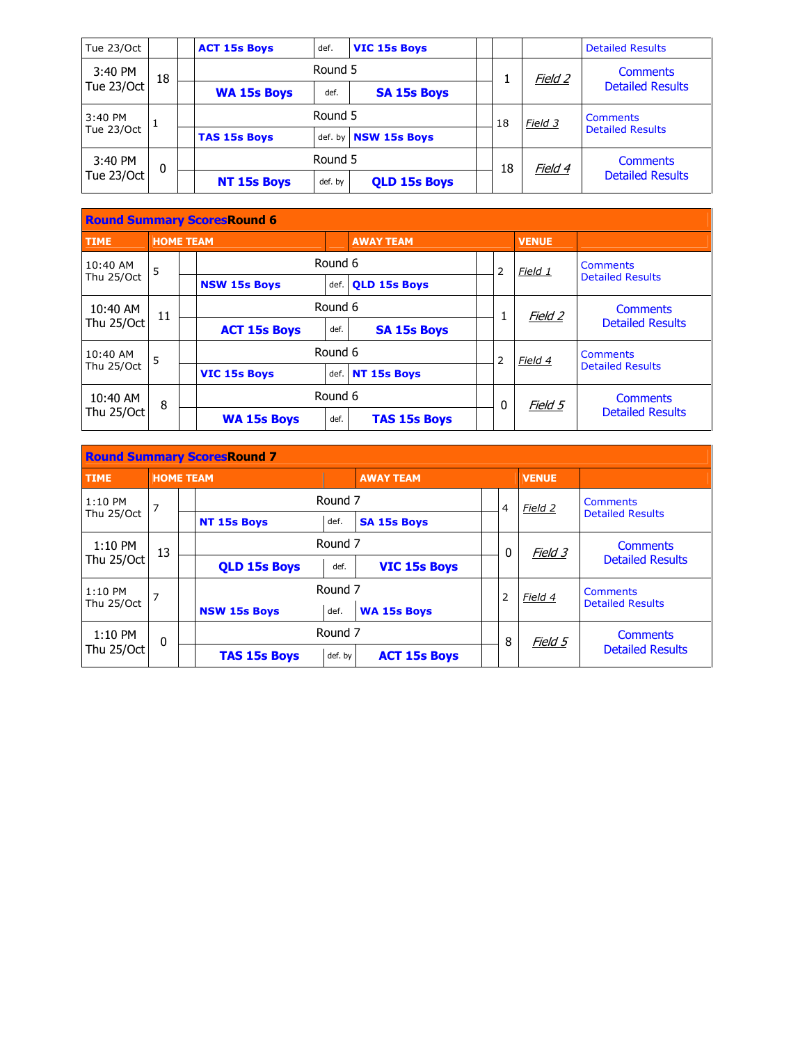| Tue 23/Oct |    |  | <b>ACT 15s Boys</b> | def.    | <b>VIC 15s Boys</b>         |  |    |                | <b>Detailed Results</b> |  |
|------------|----|--|---------------------|---------|-----------------------------|--|----|----------------|-------------------------|--|
| 3:40 PM    | 18 |  |                     | Round 5 |                             |  |    | <u>Field 2</u> | <b>Comments</b>         |  |
| Tue 23/Oct |    |  | <b>WA 15s Boys</b>  | def.    | <b>SA 15s Boys</b>          |  |    |                | <b>Detailed Results</b> |  |
| 3:40 PM    |    |  |                     | Round 5 |                             |  | 18 | Field 3        | <b>Comments</b>         |  |
| Tue 23/Oct |    |  | <b>TAS 15s Boys</b> |         | def. by <b>NSW 15s Boys</b> |  |    |                | <b>Detailed Results</b> |  |
| 3:40 PM    | 0  |  |                     | Round 5 |                             |  | 18 | Field 4        | <b>Comments</b>         |  |
| Tue 23/Oct |    |  | <b>NT 15s Boys</b>  | def. by | <b>QLD 15s Boys</b>         |  |    |                | <b>Detailed Results</b> |  |

| <b>Round Summary ScoresRound 6</b> |                  |  |                     |         |                     |  |              |              |                         |  |  |
|------------------------------------|------------------|--|---------------------|---------|---------------------|--|--------------|--------------|-------------------------|--|--|
| <b>TIME</b>                        | <b>HOME TEAM</b> |  |                     |         | <b>AWAY TEAM</b>    |  |              | <b>VENUE</b> |                         |  |  |
| $10:40$ AM                         | 5                |  |                     | Round 6 |                     |  | 2            | Field 1      | Comments                |  |  |
| Thu 25/Oct                         |                  |  | <b>NSW 15s Boys</b> | def.    | <b>OLD 15s Boys</b> |  |              |              | <b>Detailed Results</b> |  |  |
| 10:40 AM                           | 11               |  |                     |         | Round 6             |  | 1            | Field 2      | <b>Comments</b>         |  |  |
| Thu 25/Oct                         |                  |  | <b>ACT 15s Boys</b> | def.    | <b>SA 15s Boys</b>  |  |              |              | <b>Detailed Results</b> |  |  |
| 10:40 AM                           | 5                |  |                     |         | Round 6             |  | 2            | Field 4      | Comments                |  |  |
| Thu 25/Oct                         |                  |  | <b>VIC 15s Boys</b> |         | def. NT 15s Boys    |  |              |              | <b>Detailed Results</b> |  |  |
| 10:40 AM                           | 8                |  |                     | Round 6 |                     |  | 0<br>Field 5 |              | <b>Comments</b>         |  |  |
| Thu 25/Oct                         |                  |  | <b>WA 15s Boys</b>  | def.    | <b>TAS 15s Boys</b> |  |              |              | <b>Detailed Results</b> |  |  |

| <b>Round Summary ScoresRound 7</b> |            |                  |                     |                    |                     |   |                |              |                         |  |  |
|------------------------------------|------------|------------------|---------------------|--------------------|---------------------|---|----------------|--------------|-------------------------|--|--|
| <b>TIME</b>                        |            | <b>HOME TEAM</b> |                     |                    | <b>AWAY TEAM</b>    |   |                | <b>VENUE</b> |                         |  |  |
| $1:10$ PM                          | 7          |                  |                     | Round <sub>7</sub> |                     |   | $\overline{4}$ | Field 2      | <b>Comments</b>         |  |  |
|                                    | Thu 25/Oct |                  | <b>NT 15s Boys</b>  | def.               | <b>SA 15s Boys</b>  |   |                |              | <b>Detailed Results</b> |  |  |
| $1:10$ PM                          | 13         |                  |                     | Round 7            |                     |   | 0              | Field 3      | <b>Comments</b>         |  |  |
| Thu 25/Oct                         |            |                  | <b>QLD 15s Boys</b> | def.               | <b>VIC 15s Boys</b> |   |                |              | <b>Detailed Results</b> |  |  |
| $1:10$ PM                          | 7          |                  |                     | Round <sub>7</sub> |                     |   | $\overline{2}$ | Field 4      | <b>Comments</b>         |  |  |
| Thu 25/Oct                         |            |                  | <b>NSW 15s Boys</b> | def.               | <b>WA 15s Boys</b>  |   |                |              | <b>Detailed Results</b> |  |  |
| $1:10$ PM                          | $\Omega$   |                  |                     | Round <sub>7</sub> |                     |   |                | Field 5      | <b>Comments</b>         |  |  |
| Thu 25/Oct                         |            |                  | <b>TAS 15s Boys</b> | def. by            | <b>ACT 15s Boys</b> | 8 |                |              | <b>Detailed Results</b> |  |  |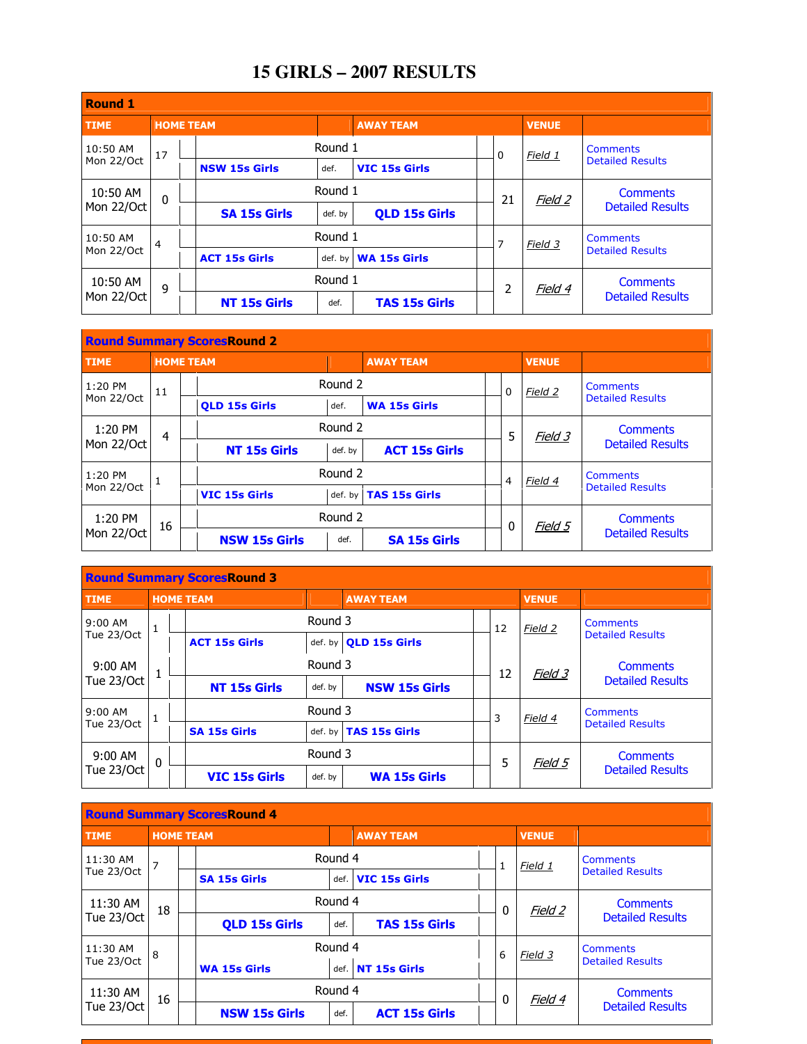## **15 GIRLS – 2007 RESULTS**

| <b>Round 1</b>           |                  |  |                      |         |                      |  |    |              |                         |  |  |
|--------------------------|------------------|--|----------------------|---------|----------------------|--|----|--------------|-------------------------|--|--|
| <b>TIME</b>              | <b>HOME TEAM</b> |  |                      |         | <b>AWAY TEAM</b>     |  |    | <b>VENUE</b> |                         |  |  |
| 10:50 AM                 | 17               |  |                      | Round 1 |                      |  | 0  | Field 1      | <b>Comments</b>         |  |  |
| Mon 22/Oct               |                  |  | <b>NSW 15s Girls</b> | def.    | <b>VIC 15s Girls</b> |  |    |              | <b>Detailed Results</b> |  |  |
| 10:50 AM<br>$\mathbf{0}$ |                  |  |                      | Round 1 |                      |  | 21 | Field 2      | <b>Comments</b>         |  |  |
| Mon 22/Oct               |                  |  | <b>SA 15s Girls</b>  | def. by | <b>QLD 15s Girls</b> |  |    |              | <b>Detailed Results</b> |  |  |
| 10:50 AM                 | 4                |  |                      | Round 1 |                      |  | 7  | Field 3      | <b>Comments</b>         |  |  |
| Mon 22/Oct               |                  |  | <b>ACT 15s Girls</b> | def. by | <b>WA 15s Girls</b>  |  |    |              | <b>Detailed Results</b> |  |  |
| 10:50 AM                 | 9                |  |                      | Round 1 |                      |  | 2  | Field 4      | <b>Comments</b>         |  |  |
| Mon 22/Oct               |                  |  | <b>NT 15s Girls</b>  | def.    | <b>TAS 15s Girls</b> |  |    |              | <b>Detailed Results</b> |  |  |

| <b>Round Summary ScoresRound 2</b> |                  |  |                      |         |                       |   |          |         |                         |  |  |
|------------------------------------|------------------|--|----------------------|---------|-----------------------|---|----------|---------|-------------------------|--|--|
| <b>TIME</b>                        | <b>HOME TEAM</b> |  |                      |         | <b>AWAY TEAM</b>      |   |          |         |                         |  |  |
| 1:20 PM                            | 11               |  |                      | Round 2 |                       |   | $\Omega$ | Field 2 | <b>Comments</b>         |  |  |
|                                    | Mon 22/Oct       |  | <b>OLD 15s Girls</b> | def.    | <b>WA 15s Girls</b>   |   |          |         | <b>Detailed Results</b> |  |  |
| $1:20$ PM                          | 4                |  |                      | Round 2 |                       |   | 5        | Field 3 | <b>Comments</b>         |  |  |
| Mon 22/Oct                         |                  |  | <b>NT 15s Girls</b>  | def. by | <b>ACT 15s Girls</b>  |   |          |         | <b>Detailed Results</b> |  |  |
| 1:20 PM                            | 1                |  |                      | Round 2 |                       |   | 4        | Field 4 | <b>Comments</b>         |  |  |
| Mon 22/Oct                         |                  |  | <b>VIC 15s Girls</b> |         | def. by TAS 15s Girls |   |          |         | <b>Detailed Results</b> |  |  |
| $1:20$ PM                          | 16               |  |                      | Round 2 |                       | 0 |          | Field 5 | Comments                |  |  |
| Mon 22/Oct                         |                  |  | <b>NSW 15s Girls</b> | def.    | <b>SA 15s Girls</b>   |   |          |         | <b>Detailed Results</b> |  |  |

| <b>Round Summary ScoresRound 3</b> |                  |         |                      |         |                              |    |         |                 |                         |  |  |
|------------------------------------|------------------|---------|----------------------|---------|------------------------------|----|---------|-----------------|-------------------------|--|--|
| <b>TIME</b>                        | <b>HOME TEAM</b> |         |                      |         | <b>AWAY TEAM</b>             |    |         | <b>VENUE</b>    |                         |  |  |
| 9:00 AM                            | $\mathbf{1}$     |         |                      | Round 3 |                              |    | 12      | Field 2         | <b>Comments</b>         |  |  |
| Tue 23/Oct                         |                  |         | <b>ACT 15s Girls</b> |         | def. by <b>QLD 15s Girls</b> |    |         |                 | <b>Detailed Results</b> |  |  |
| $9:00$ AM                          |                  | Round 3 |                      |         |                              | 12 | Field 3 | <b>Comments</b> |                         |  |  |
| Tue 23/Oct                         |                  |         | <b>NT 15s Girls</b>  | def. by | <b>NSW 15s Girls</b>         |    |         |                 | <b>Detailed Results</b> |  |  |
| $9:00$ AM                          |                  |         |                      | Round 3 |                              |    | 3       | Field 4         | Comments                |  |  |
| Tue 23/Oct                         |                  |         | <b>SA 15s Girls</b>  |         | def. by TAS 15s Girls        |    |         |                 | <b>Detailed Results</b> |  |  |
| 9:00 AM                            | $\Omega$         |         |                      | Round 3 |                              |    | 5       | Field 5         | <b>Comments</b>         |  |  |
| Tue 23/Oct                         |                  |         | <b>VIC 15s Girls</b> | def. by | <b>WA 15s Girls</b>          |    |         |                 | <b>Detailed Results</b> |  |  |

| <b>Round Summary ScoresRound 4</b> |                  |  |                      |         |                      |             |   |         |                         |  |  |
|------------------------------------|------------------|--|----------------------|---------|----------------------|-------------|---|---------|-------------------------|--|--|
| <b>TIME</b>                        | <b>HOME TEAM</b> |  |                      |         | <b>AWAY TEAM</b>     |             |   |         |                         |  |  |
| 11:30 AM                           | 7                |  |                      | Round 4 |                      |             | 1 | Field 1 | <b>Comments</b>         |  |  |
| Tue 23/Oct                         |                  |  | <b>SA 15s Girls</b>  | def.    | <b>VIC 15s Girls</b> |             |   |         | <b>Detailed Results</b> |  |  |
| 11:30 AM                           | 18               |  |                      | Round 4 |                      |             | 0 | Field 2 | <b>Comments</b>         |  |  |
| Tue 23/Oct                         |                  |  | <b>QLD 15s Girls</b> | def.    | <b>TAS 15s Girls</b> |             |   |         | <b>Detailed Results</b> |  |  |
| 11:30 AM                           | 8                |  |                      |         | Round 4              |             | 6 | Field 3 | <b>Comments</b>         |  |  |
| Tue 23/Oct                         |                  |  | <b>WA 15s Girls</b>  | def.    | NT 15s Girls         |             |   |         | <b>Detailed Results</b> |  |  |
| 11:30 AM                           | 16               |  |                      | Round 4 |                      | $\mathbf 0$ |   | Field 4 | <b>Comments</b>         |  |  |
| Tue 23/Oct                         |                  |  | <b>NSW 15s Girls</b> | def.    | <b>ACT 15s Girls</b> |             |   |         | <b>Detailed Results</b> |  |  |